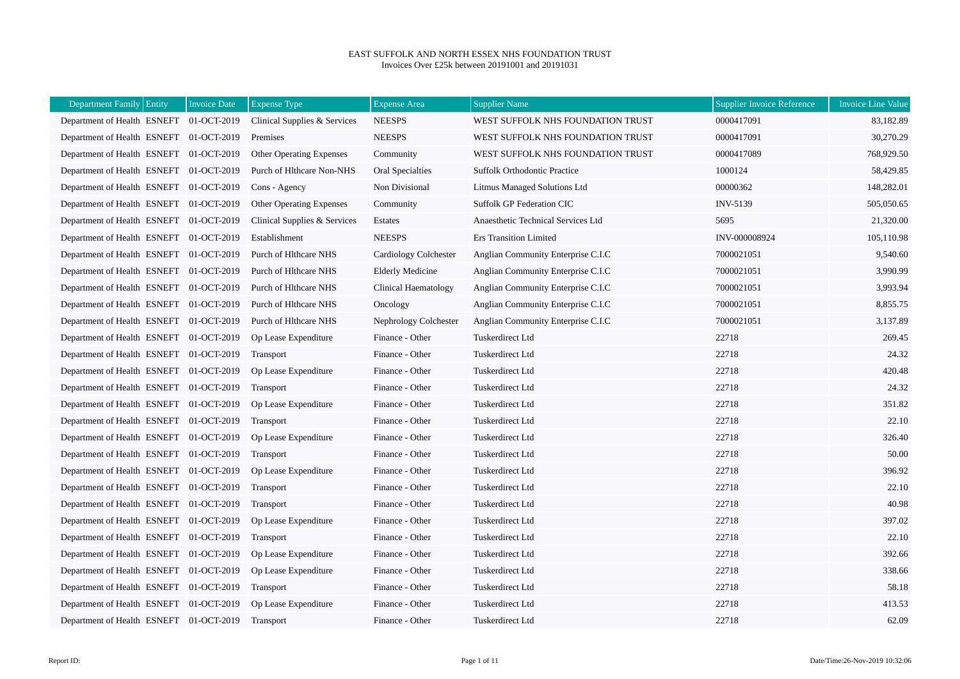## EAST SUFFOLK AND NORTH ESSEX NHS FOUNDATION TRUST Invoices Over £25k between 20191001 and 20191031

| Department Family Entity                | <b>Invoice Date</b> | <b>Expense Type</b>             | <b>Expense Area</b>     | <b>Supplier Name</b>                | <b>Supplier Invoice Reference</b> | <b>Invoice Line Value</b> |
|-----------------------------------------|---------------------|---------------------------------|-------------------------|-------------------------------------|-----------------------------------|---------------------------|
| Department of Health ESNEFT 01-OCT-2019 |                     | Clinical Supplies & Services    | <b>NEESPS</b>           | WEST SUFFOLK NHS FOUNDATION TRUST   | 0000417091                        | 83,182.89                 |
| Department of Health ESNEFT 01-OCT-2019 |                     | Premises                        | <b>NEESPS</b>           | WEST SUFFOLK NHS FOUNDATION TRUST   | 0000417091                        | 30,270.29                 |
| Department of Health ESNEFT 01-OCT-2019 |                     | <b>Other Operating Expenses</b> | Community               | WEST SUFFOLK NHS FOUNDATION TRUST   | 0000417089                        | 768,929.50                |
| Department of Health ESNEFT 01-OCT-2019 |                     | Purch of Hlthcare Non-NHS       | Oral Specialties        | <b>Suffolk Orthodontic Practice</b> | 1000124                           | 58,429.85                 |
| Department of Health ESNEFT 01-OCT-2019 |                     | Cons - Agency                   | Non Divisional          | Litmus Managed Solutions Ltd        | 00000362                          | 148,282.01                |
| Department of Health ESNEFT 01-OCT-2019 |                     | <b>Other Operating Expenses</b> | Community               | Suffolk GP Federation CIC           | INV-5139                          | 505,050.65                |
| Department of Health ESNEFT 01-OCT-2019 |                     | Clinical Supplies & Services    | Estates                 | Anaesthetic Technical Services Ltd  | 5695                              | 21,320.00                 |
| Department of Health ESNEFT 01-OCT-2019 |                     | Establishment                   | <b>NEESPS</b>           | Ers Transition Limited              | INV-000008924                     | 105,110.98                |
| Department of Health ESNEFT 01-OCT-2019 |                     | Purch of Hithcare NHS           | Cardiology Colchester   | Anglian Community Enterprise C.I.C  | 7000021051                        | 9,540.60                  |
| Department of Health ESNEFT 01-OCT-2019 |                     | Purch of Hlthcare NHS           | <b>Elderly Medicine</b> | Anglian Community Enterprise C.I.C  | 7000021051                        | 3,990.99                  |
| Department of Health ESNEFT 01-OCT-2019 |                     | Purch of Hlthcare NHS           | Clinical Haematology    | Anglian Community Enterprise C.I.C  | 7000021051                        | 3,993.94                  |
| Department of Health ESNEFT 01-OCT-2019 |                     | Purch of Hlthcare NHS           | Oncology                | Anglian Community Enterprise C.I.C  | 7000021051                        | 8,855.75                  |
| Department of Health ESNEFT 01-OCT-2019 |                     | Purch of Hlthcare NHS           | Nephrology Colchester   | Anglian Community Enterprise C.I.C  | 7000021051                        | 3,137.89                  |
| Department of Health ESNEFT 01-OCT-2019 |                     | Op Lease Expenditure            | Finance - Other         | Tuskerdirect Ltd                    | 22718                             | 269.45                    |
| Department of Health ESNEFT 01-OCT-2019 |                     | Transport                       | Finance - Other         | <b>Tuskerdirect Ltd</b>             | 22718                             | 24.32                     |
| Department of Health ESNEFT 01-OCT-2019 |                     | Op Lease Expenditure            | Finance - Other         | Tuskerdirect Ltd                    | 22718                             | 420.48                    |
| Department of Health ESNEFT 01-OCT-2019 |                     | Transport                       | Finance - Other         | <b>Tuskerdirect Ltd</b>             | 22718                             | 24.32                     |
| Department of Health ESNEFT 01-OCT-2019 |                     | Op Lease Expenditure            | Finance - Other         | Tuskerdirect Ltd                    | 22718                             | 351.82                    |
| Department of Health ESNEFT 01-OCT-2019 |                     | Transport                       | Finance - Other         | Tuskerdirect Ltd                    | 22718                             | 22.10                     |
| Department of Health ESNEFT 01-OCT-2019 |                     | Op Lease Expenditure            | Finance - Other         | Tuskerdirect Ltd                    | 22718                             | 326.40                    |
| Department of Health ESNEFT 01-OCT-2019 |                     | Transport                       | Finance - Other         | Tuskerdirect Ltd                    | 22718                             | 50.00                     |
| Department of Health ESNEFT 01-OCT-2019 |                     | Op Lease Expenditure            | Finance - Other         | <b>Tuskerdirect Ltd</b>             | 22718                             | 396.92                    |
| Department of Health ESNEFT 01-OCT-2019 |                     | Transport                       | Finance - Other         | Tuskerdirect Ltd                    | 22718                             | 22.10                     |
| Department of Health ESNEFT 01-OCT-2019 |                     | Transport                       | Finance - Other         | Tuskerdirect Ltd                    | 22718                             | 40.98                     |
| Department of Health ESNEFT 01-OCT-2019 |                     | Op Lease Expenditure            | Finance - Other         | Tuskerdirect Ltd                    | 22718                             | 397.02                    |
| Department of Health ESNEFT 01-OCT-2019 |                     | Transport                       | Finance - Other         | Tuskerdirect Ltd                    | 22718                             | 22.10                     |
| Department of Health ESNEFT 01-OCT-2019 |                     | Op Lease Expenditure            | Finance - Other         | Tuskerdirect Ltd                    | 22718                             | 392.66                    |
| Department of Health ESNEFT 01-OCT-2019 |                     | Op Lease Expenditure            | Finance - Other         | Tuskerdirect Ltd                    | 22718                             | 338.66                    |
| Department of Health ESNEFT 01-OCT-2019 |                     | Transport                       | Finance - Other         | Tuskerdirect Ltd                    | 22718                             | 58.18                     |
| Department of Health ESNEFT 01-OCT-2019 |                     | Op Lease Expenditure            | Finance - Other         | Tuskerdirect Ltd                    | 22718                             | 413.53                    |
| Department of Health ESNEFT 01-OCT-2019 |                     | Transport                       | Finance - Other         | Tuskerdirect Ltd                    | 22718                             | 62.09                     |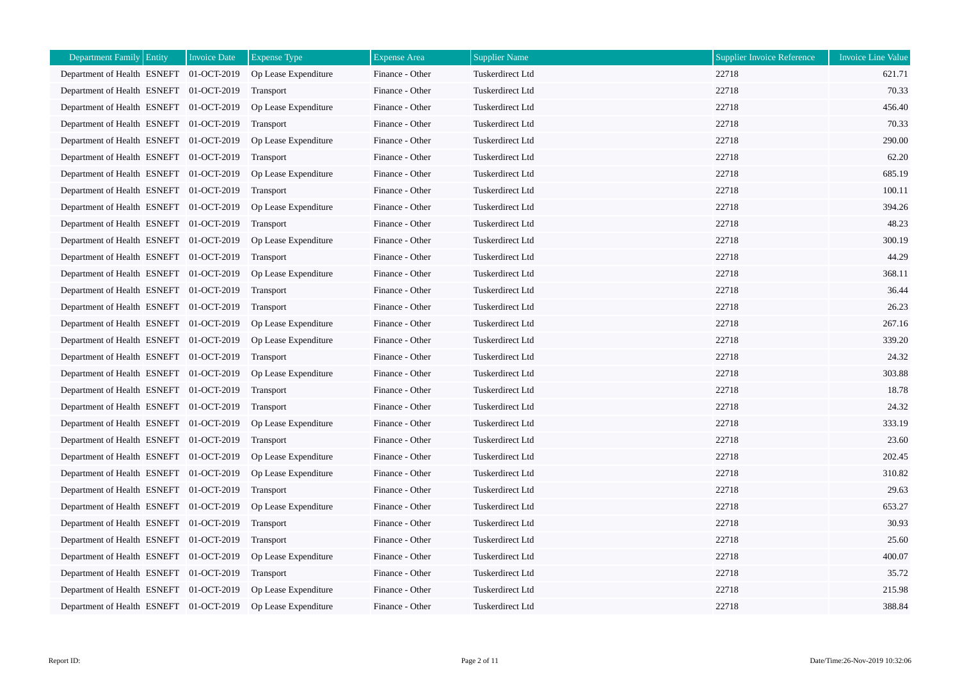| <b>Department Family Entity</b>         | <b>Invoice Date</b> | <b>Expense Type</b>  | <b>Expense Area</b> | <b>Supplier Name</b>    | <b>Supplier Invoice Reference</b> | <b>Invoice Line Value</b> |
|-----------------------------------------|---------------------|----------------------|---------------------|-------------------------|-----------------------------------|---------------------------|
| Department of Health ESNEFT 01-OCT-2019 |                     | Op Lease Expenditure | Finance - Other     | Tuskerdirect Ltd        | 22718                             | 621.71                    |
| Department of Health ESNEFT 01-OCT-2019 |                     | Transport            | Finance - Other     | Tuskerdirect Ltd        | 22718                             | 70.33                     |
| Department of Health ESNEFT 01-OCT-2019 |                     | Op Lease Expenditure | Finance - Other     | <b>Tuskerdirect Ltd</b> | 22718                             | 456.40                    |
| Department of Health ESNEFT 01-OCT-2019 |                     | <b>Transport</b>     | Finance - Other     | Tuskerdirect Ltd        | 22718                             | 70.33                     |
| Department of Health ESNEFT 01-OCT-2019 |                     | Op Lease Expenditure | Finance - Other     | Tuskerdirect Ltd        | 22718                             | 290.00                    |
| Department of Health ESNEFT 01-OCT-2019 |                     | Transport            | Finance - Other     | <b>Tuskerdirect Ltd</b> | 22718                             | 62.20                     |
| Department of Health ESNEFT 01-OCT-2019 |                     | Op Lease Expenditure | Finance - Other     | Tuskerdirect Ltd        | 22718                             | 685.19                    |
| Department of Health ESNEFT 01-OCT-2019 |                     | Transport            | Finance - Other     | Tuskerdirect Ltd        | 22718                             | 100.11                    |
| Department of Health ESNEFT 01-OCT-2019 |                     | Op Lease Expenditure | Finance - Other     | <b>Tuskerdirect Ltd</b> | 22718                             | 394.26                    |
| Department of Health ESNEFT 01-OCT-2019 |                     | Transport            | Finance - Other     | Tuskerdirect Ltd        | 22718                             | 48.23                     |
| Department of Health ESNEFT 01-OCT-2019 |                     | Op Lease Expenditure | Finance - Other     | Tuskerdirect Ltd        | 22718                             | 300.19                    |
| Department of Health ESNEFT 01-OCT-2019 |                     | Transport            | Finance - Other     | <b>Tuskerdirect Ltd</b> | 22718                             | 44.29                     |
| Department of Health ESNEFT 01-OCT-2019 |                     | Op Lease Expenditure | Finance - Other     | Tuskerdirect Ltd        | 22718                             | 368.11                    |
| Department of Health ESNEFT 01-OCT-2019 |                     | Transport            | Finance - Other     | Tuskerdirect Ltd        | 22718                             | 36.44                     |
| Department of Health ESNEFT 01-OCT-2019 |                     | Transport            | Finance - Other     | <b>Tuskerdirect Ltd</b> | 22718                             | 26.23                     |
| Department of Health ESNEFT 01-OCT-2019 |                     | Op Lease Expenditure | Finance - Other     | Tuskerdirect Ltd        | 22718                             | 267.16                    |
| Department of Health ESNEFT 01-OCT-2019 |                     | Op Lease Expenditure | Finance - Other     | Tuskerdirect Ltd        | 22718                             | 339.20                    |
| Department of Health ESNEFT 01-OCT-2019 |                     | Transport            | Finance - Other     | Tuskerdirect Ltd        | 22718                             | 24.32                     |
| Department of Health ESNEFT 01-OCT-2019 |                     | Op Lease Expenditure | Finance - Other     | <b>Tuskerdirect Ltd</b> | 22718                             | 303.88                    |
| Department of Health ESNEFT 01-OCT-2019 |                     | Transport            | Finance - Other     | Tuskerdirect Ltd        | 22718                             | 18.78                     |
| Department of Health ESNEFT 01-OCT-2019 |                     | Transport            | Finance - Other     | <b>Tuskerdirect Ltd</b> | 22718                             | 24.32                     |
| Department of Health ESNEFT 01-OCT-2019 |                     | Op Lease Expenditure | Finance - Other     | Tuskerdirect Ltd        | 22718                             | 333.19                    |
| Department of Health ESNEFT 01-OCT-2019 |                     | Transport            | Finance - Other     | Tuskerdirect Ltd        | 22718                             | 23.60                     |
| Department of Health ESNEFT 01-OCT-2019 |                     | Op Lease Expenditure | Finance - Other     | <b>Tuskerdirect Ltd</b> | 22718                             | 202.45                    |
| Department of Health ESNEFT 01-OCT-2019 |                     | Op Lease Expenditure | Finance - Other     | <b>Tuskerdirect Ltd</b> | 22718                             | 310.82                    |
| Department of Health ESNEFT 01-OCT-2019 |                     | Transport            | Finance - Other     | Tuskerdirect Ltd        | 22718                             | 29.63                     |
| Department of Health ESNEFT 01-OCT-2019 |                     | Op Lease Expenditure | Finance - Other     | <b>Tuskerdirect Ltd</b> | 22718                             | 653.27                    |
| Department of Health ESNEFT 01-OCT-2019 |                     | Transport            | Finance - Other     | Tuskerdirect Ltd        | 22718                             | 30.93                     |
| Department of Health ESNEFT 01-OCT-2019 |                     | Transport            | Finance - Other     | Tuskerdirect Ltd        | 22718                             | 25.60                     |
| Department of Health ESNEFT 01-OCT-2019 |                     | Op Lease Expenditure | Finance - Other     | Tuskerdirect Ltd        | 22718                             | 400.07                    |
| Department of Health ESNEFT 01-OCT-2019 |                     | Transport            | Finance - Other     | <b>Tuskerdirect Ltd</b> | 22718                             | 35.72                     |
| Department of Health ESNEFT 01-OCT-2019 |                     | Op Lease Expenditure | Finance - Other     | Tuskerdirect Ltd        | 22718                             | 215.98                    |
| Department of Health ESNEFT 01-OCT-2019 |                     | Op Lease Expenditure | Finance - Other     | <b>Tuskerdirect Ltd</b> | 22718                             | 388.84                    |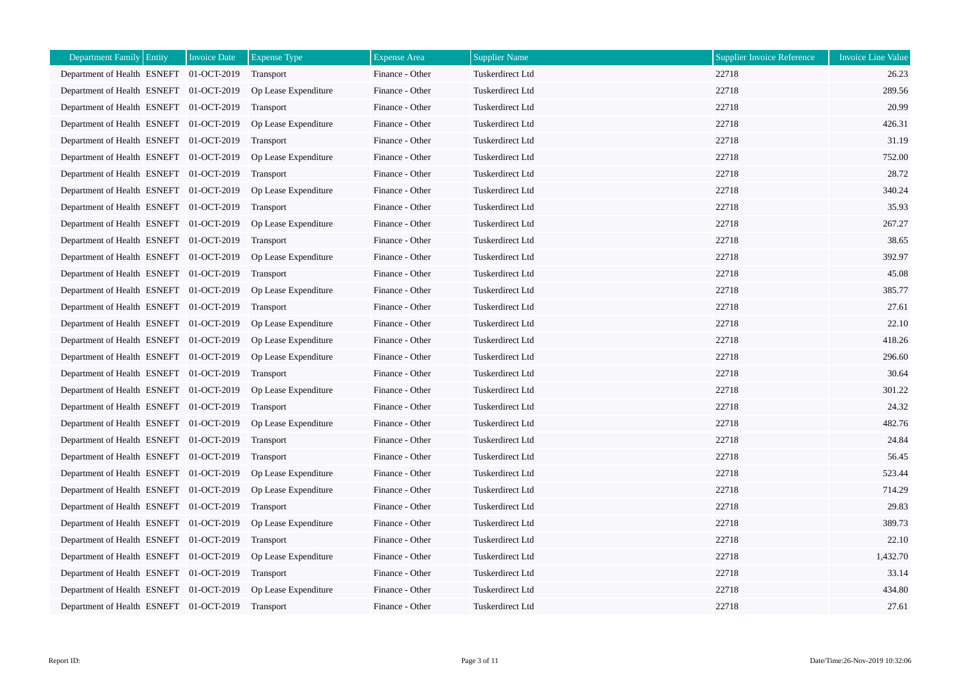| <b>Department Family Entity</b>         | <b>Invoice Date</b> | <b>Expense Type</b>  | <b>Expense Area</b> | <b>Supplier Name</b>    | <b>Supplier Invoice Reference</b> | <b>Invoice Line Value</b> |
|-----------------------------------------|---------------------|----------------------|---------------------|-------------------------|-----------------------------------|---------------------------|
| Department of Health ESNEFT 01-OCT-2019 |                     | Transport            | Finance - Other     | Tuskerdirect Ltd        | 22718                             | 26.23                     |
| Department of Health ESNEFT 01-OCT-2019 |                     | Op Lease Expenditure | Finance - Other     | Tuskerdirect Ltd        | 22718                             | 289.56                    |
| Department of Health ESNEFT 01-OCT-2019 |                     | Transport            | Finance - Other     | <b>Tuskerdirect Ltd</b> | 22718                             | 20.99                     |
| Department of Health ESNEFT 01-OCT-2019 |                     | Op Lease Expenditure | Finance - Other     | <b>Tuskerdirect Ltd</b> | 22718                             | 426.31                    |
| Department of Health ESNEFT 01-OCT-2019 |                     | <b>Transport</b>     | Finance - Other     | Tuskerdirect Ltd        | 22718                             | 31.19                     |
| Department of Health ESNEFT 01-OCT-2019 |                     | Op Lease Expenditure | Finance - Other     | Tuskerdirect Ltd        | 22718                             | 752.00                    |
| Department of Health ESNEFT 01-OCT-2019 |                     | Transport            | Finance - Other     | Tuskerdirect Ltd        | 22718                             | 28.72                     |
| Department of Health ESNEFT 01-OCT-2019 |                     | Op Lease Expenditure | Finance - Other     | <b>Tuskerdirect Ltd</b> | 22718                             | 340.24                    |
| Department of Health ESNEFT 01-OCT-2019 |                     | Transport            | Finance - Other     | Tuskerdirect Ltd        | 22718                             | 35.93                     |
| Department of Health ESNEFT 01-OCT-2019 |                     | Op Lease Expenditure | Finance - Other     | Tuskerdirect Ltd        | 22718                             | 267.27                    |
| Department of Health ESNEFT 01-OCT-2019 |                     | Transport            | Finance - Other     | <b>Tuskerdirect Ltd</b> | 22718                             | 38.65                     |
| Department of Health ESNEFT 01-OCT-2019 |                     | Op Lease Expenditure | Finance - Other     | Tuskerdirect Ltd        | 22718                             | 392.97                    |
| Department of Health ESNEFT 01-OCT-2019 |                     | Transport            | Finance - Other     | Tuskerdirect Ltd        | 22718                             | 45.08                     |
| Department of Health ESNEFT 01-OCT-2019 |                     | Op Lease Expenditure | Finance - Other     | Tuskerdirect Ltd        | 22718                             | 385.77                    |
| Department of Health ESNEFT 01-OCT-2019 |                     | Transport            | Finance - Other     | <b>Tuskerdirect Ltd</b> | 22718                             | 27.61                     |
| Department of Health ESNEFT 01-OCT-2019 |                     | Op Lease Expenditure | Finance - Other     | Tuskerdirect Ltd        | 22718                             | 22.10                     |
| Department of Health ESNEFT 01-OCT-2019 |                     | Op Lease Expenditure | Finance - Other     | Tuskerdirect Ltd        | 22718                             | 418.26                    |
| Department of Health ESNEFT 01-OCT-2019 |                     | Op Lease Expenditure | Finance - Other     | Tuskerdirect Ltd        | 22718                             | 296.60                    |
| Department of Health ESNEFT 01-OCT-2019 |                     | Transport            | Finance - Other     | <b>Tuskerdirect Ltd</b> | 22718                             | 30.64                     |
| Department of Health ESNEFT 01-OCT-2019 |                     | Op Lease Expenditure | Finance - Other     | Tuskerdirect Ltd        | 22718                             | 301.22                    |
| Department of Health ESNEFT 01-OCT-2019 |                     | Transport            | Finance - Other     | Tuskerdirect Ltd        | 22718                             | 24.32                     |
| Department of Health ESNEFT 01-OCT-2019 |                     | Op Lease Expenditure | Finance - Other     | <b>Tuskerdirect Ltd</b> | 22718                             | 482.76                    |
| Department of Health ESNEFT 01-OCT-2019 |                     | Transport            | Finance - Other     | Tuskerdirect Ltd        | 22718                             | 24.84                     |
| Department of Health ESNEFT 01-OCT-2019 |                     | Transport            | Finance - Other     | Tuskerdirect Ltd        | 22718                             | 56.45                     |
| Department of Health ESNEFT 01-OCT-2019 |                     | Op Lease Expenditure | Finance - Other     | Tuskerdirect Ltd        | 22718                             | 523.44                    |
| Department of Health ESNEFT 01-OCT-2019 |                     | Op Lease Expenditure | Finance - Other     | <b>Tuskerdirect Ltd</b> | 22718                             | 714.29                    |
| Department of Health ESNEFT 01-OCT-2019 |                     | Transport            | Finance - Other     | Tuskerdirect Ltd        | 22718                             | 29.83                     |
| Department of Health ESNEFT 01-OCT-2019 |                     | Op Lease Expenditure | Finance - Other     | Tuskerdirect Ltd        | 22718                             | 389.73                    |
| Department of Health ESNEFT 01-OCT-2019 |                     | Transport            | Finance - Other     | Tuskerdirect Ltd        | 22718                             | 22.10                     |
| Department of Health ESNEFT 01-OCT-2019 |                     | Op Lease Expenditure | Finance - Other     | Tuskerdirect Ltd        | 22718                             | 1,432.70                  |
| Department of Health ESNEFT 01-OCT-2019 |                     | Transport            | Finance - Other     | Tuskerdirect Ltd        | 22718                             | 33.14                     |
| Department of Health ESNEFT 01-OCT-2019 |                     | Op Lease Expenditure | Finance - Other     | Tuskerdirect Ltd        | 22718                             | 434.80                    |
| Department of Health ESNEFT 01-OCT-2019 |                     | Transport            | Finance - Other     | Tuskerdirect Ltd        | 22718                             | 27.61                     |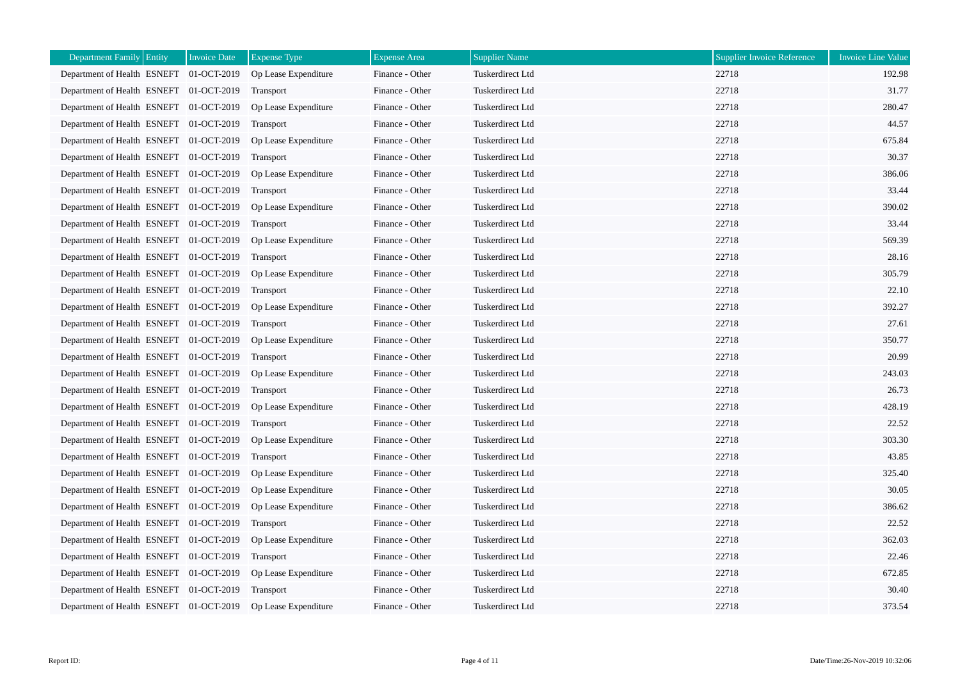| <b>Department Family Entity</b>         | <b>Invoice Date</b> | <b>Expense Type</b>  | <b>Expense Area</b> | <b>Supplier Name</b>    | <b>Supplier Invoice Reference</b> | <b>Invoice Line Value</b> |
|-----------------------------------------|---------------------|----------------------|---------------------|-------------------------|-----------------------------------|---------------------------|
| Department of Health ESNEFT 01-OCT-2019 |                     | Op Lease Expenditure | Finance - Other     | Tuskerdirect Ltd        | 22718                             | 192.98                    |
| Department of Health ESNEFT 01-OCT-2019 |                     | Transport            | Finance - Other     | Tuskerdirect Ltd        | 22718                             | 31.77                     |
| Department of Health ESNEFT 01-OCT-2019 |                     | Op Lease Expenditure | Finance - Other     | <b>Tuskerdirect Ltd</b> | 22718                             | 280.47                    |
| Department of Health ESNEFT 01-OCT-2019 |                     | <b>Transport</b>     | Finance - Other     | Tuskerdirect Ltd        | 22718                             | 44.57                     |
| Department of Health ESNEFT 01-OCT-2019 |                     | Op Lease Expenditure | Finance - Other     | Tuskerdirect Ltd        | 22718                             | 675.84                    |
| Department of Health ESNEFT 01-OCT-2019 |                     | Transport            | Finance - Other     | Tuskerdirect Ltd        | 22718                             | 30.37                     |
| Department of Health ESNEFT 01-OCT-2019 |                     | Op Lease Expenditure | Finance - Other     | Tuskerdirect Ltd        | 22718                             | 386.06                    |
| Department of Health ESNEFT 01-OCT-2019 |                     | Transport            | Finance - Other     | Tuskerdirect Ltd        | 22718                             | 33.44                     |
| Department of Health ESNEFT 01-OCT-2019 |                     | Op Lease Expenditure | Finance - Other     | Tuskerdirect Ltd        | 22718                             | 390.02                    |
| Department of Health ESNEFT 01-OCT-2019 |                     | Transport            | Finance - Other     | Tuskerdirect Ltd        | 22718                             | 33.44                     |
| Department of Health ESNEFT 01-OCT-2019 |                     | Op Lease Expenditure | Finance - Other     | Tuskerdirect Ltd        | 22718                             | 569.39                    |
| Department of Health ESNEFT 01-OCT-2019 |                     | Transport            | Finance - Other     | Tuskerdirect Ltd        | 22718                             | 28.16                     |
| Department of Health ESNEFT 01-OCT-2019 |                     | Op Lease Expenditure | Finance - Other     | Tuskerdirect Ltd        | 22718                             | 305.79                    |
| Department of Health ESNEFT 01-OCT-2019 |                     | Transport            | Finance - Other     | Tuskerdirect Ltd        | 22718                             | 22.10                     |
| Department of Health ESNEFT 01-OCT-2019 |                     | Op Lease Expenditure | Finance - Other     | Tuskerdirect Ltd        | 22718                             | 392.27                    |
| Department of Health ESNEFT 01-OCT-2019 |                     | Transport            | Finance - Other     | Tuskerdirect Ltd        | 22718                             | 27.61                     |
| Department of Health ESNEFT 01-OCT-2019 |                     | Op Lease Expenditure | Finance - Other     | Tuskerdirect Ltd        | 22718                             | 350.77                    |
| Department of Health ESNEFT 01-OCT-2019 |                     | Transport            | Finance - Other     | Tuskerdirect Ltd        | 22718                             | 20.99                     |
| Department of Health ESNEFT 01-OCT-2019 |                     | Op Lease Expenditure | Finance - Other     | Tuskerdirect Ltd        | 22718                             | 243.03                    |
| Department of Health ESNEFT 01-OCT-2019 |                     | Transport            | Finance - Other     | Tuskerdirect Ltd        | 22718                             | 26.73                     |
| Department of Health ESNEFT 01-OCT-2019 |                     | Op Lease Expenditure | Finance - Other     | <b>Tuskerdirect Ltd</b> | 22718                             | 428.19                    |
| Department of Health ESNEFT 01-OCT-2019 |                     | Transport            | Finance - Other     | Tuskerdirect Ltd        | 22718                             | 22.52                     |
| Department of Health ESNEFT 01-OCT-2019 |                     | Op Lease Expenditure | Finance - Other     | Tuskerdirect Ltd        | 22718                             | 303.30                    |
| Department of Health ESNEFT 01-OCT-2019 |                     | Transport            | Finance - Other     | <b>Tuskerdirect Ltd</b> | 22718                             | 43.85                     |
| Department of Health ESNEFT 01-OCT-2019 |                     | Op Lease Expenditure | Finance - Other     | <b>Tuskerdirect Ltd</b> | 22718                             | 325.40                    |
| Department of Health ESNEFT 01-OCT-2019 |                     | Op Lease Expenditure | Finance - Other     | Tuskerdirect Ltd        | 22718                             | 30.05                     |
| Department of Health ESNEFT 01-OCT-2019 |                     | Op Lease Expenditure | Finance - Other     | <b>Tuskerdirect Ltd</b> | 22718                             | 386.62                    |
| Department of Health ESNEFT 01-OCT-2019 |                     | <b>Transport</b>     | Finance - Other     | Tuskerdirect Ltd        | 22718                             | 22.52                     |
| Department of Health ESNEFT 01-OCT-2019 |                     | Op Lease Expenditure | Finance - Other     | Tuskerdirect Ltd        | 22718                             | 362.03                    |
| Department of Health ESNEFT 01-OCT-2019 |                     | Transport            | Finance - Other     | Tuskerdirect Ltd        | 22718                             | 22.46                     |
| Department of Health ESNEFT 01-OCT-2019 |                     | Op Lease Expenditure | Finance - Other     | <b>Tuskerdirect Ltd</b> | 22718                             | 672.85                    |
| Department of Health ESNEFT 01-OCT-2019 |                     | Transport            | Finance - Other     | Tuskerdirect Ltd        | 22718                             | 30.40                     |
| Department of Health ESNEFT 01-OCT-2019 |                     | Op Lease Expenditure | Finance - Other     | <b>Tuskerdirect Ltd</b> | 22718                             | 373.54                    |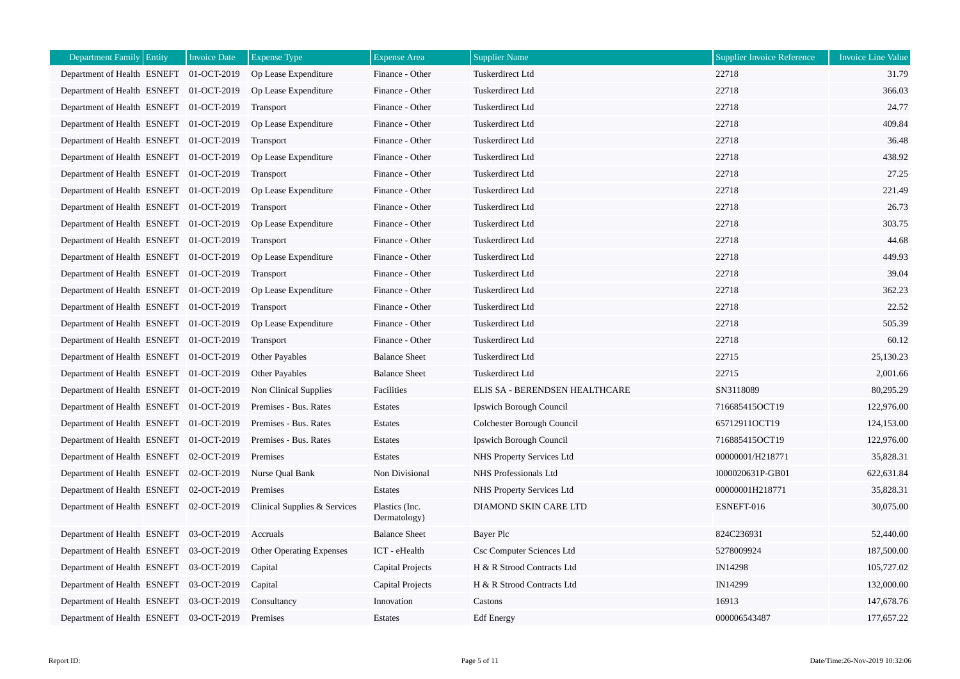| Department Family Entity                | <b>Invoice Date</b> | <b>Expense Type</b>          | <b>Expense Area</b>            | <b>Supplier Name</b>           | <b>Supplier Invoice Reference</b> | Invoice Line Value |
|-----------------------------------------|---------------------|------------------------------|--------------------------------|--------------------------------|-----------------------------------|--------------------|
| Department of Health ESNEFT 01-OCT-2019 |                     | Op Lease Expenditure         | Finance - Other                | Tuskerdirect Ltd               | 22718                             | 31.79              |
| Department of Health ESNEFT 01-OCT-2019 |                     | Op Lease Expenditure         | Finance - Other                | <b>Tuskerdirect Ltd</b>        | 22718                             | 366.03             |
| Department of Health ESNEFT 01-OCT-2019 |                     | Transport                    | Finance - Other                | Tuskerdirect Ltd               | 22718                             | 24.77              |
| Department of Health ESNEFT 01-OCT-2019 |                     | Op Lease Expenditure         | Finance - Other                | <b>Tuskerdirect Ltd</b>        | 22718                             | 409.84             |
| Department of Health ESNEFT 01-OCT-2019 |                     | Transport                    | Finance - Other                | Tuskerdirect Ltd               | 22718                             | 36.48              |
| Department of Health ESNEFT 01-OCT-2019 |                     | Op Lease Expenditure         | Finance - Other                | Tuskerdirect Ltd               | 22718                             | 438.92             |
| Department of Health ESNEFT 01-OCT-2019 |                     | Transport                    | Finance - Other                | Tuskerdirect Ltd               | 22718                             | 27.25              |
| Department of Health ESNEFT 01-OCT-2019 |                     | Op Lease Expenditure         | Finance - Other                | Tuskerdirect Ltd               | 22718                             | 221.49             |
| Department of Health ESNEFT 01-OCT-2019 |                     | Transport                    | Finance - Other                | Tuskerdirect Ltd               | 22718                             | 26.73              |
| Department of Health ESNEFT 01-OCT-2019 |                     | Op Lease Expenditure         | Finance - Other                | <b>Tuskerdirect Ltd</b>        | 22718                             | 303.75             |
| Department of Health ESNEFT 01-OCT-2019 |                     | Transport                    | Finance - Other                | Tuskerdirect Ltd               | 22718                             | 44.68              |
| Department of Health ESNEFT 01-OCT-2019 |                     | Op Lease Expenditure         | Finance - Other                | Tuskerdirect Ltd               | 22718                             | 449.93             |
| Department of Health ESNEFT 01-OCT-2019 |                     | Transport                    | Finance - Other                | Tuskerdirect Ltd               | 22718                             | 39.04              |
| Department of Health ESNEFT 01-OCT-2019 |                     | Op Lease Expenditure         | Finance - Other                | Tuskerdirect Ltd               | 22718                             | 362.23             |
| Department of Health ESNEFT 01-OCT-2019 |                     | Transport                    | Finance - Other                | Tuskerdirect Ltd               | 22718                             | 22.52              |
| Department of Health ESNEFT 01-OCT-2019 |                     | Op Lease Expenditure         | Finance - Other                | Tuskerdirect Ltd               | 22718                             | 505.39             |
| Department of Health ESNEFT 01-OCT-2019 |                     | Transport                    | Finance - Other                | <b>Tuskerdirect Ltd</b>        | 22718                             | 60.12              |
| Department of Health ESNEFT 01-OCT-2019 |                     | Other Payables               | <b>Balance Sheet</b>           | Tuskerdirect Ltd               | 22715                             | 25,130.23          |
| Department of Health ESNEFT 01-OCT-2019 |                     | Other Payables               | <b>Balance Sheet</b>           | Tuskerdirect Ltd               | 22715                             | 2,001.66           |
| Department of Health ESNEFT 01-OCT-2019 |                     | Non Clinical Supplies        | Facilities                     | ELIS SA - BERENDSEN HEALTHCARE | SN3118089                         | 80,295.29          |
| Department of Health ESNEFT 01-OCT-2019 |                     | Premises - Bus. Rates        | Estates                        | Ipswich Borough Council        | 716685415OCT19                    | 122,976.00         |
| Department of Health ESNEFT 01-OCT-2019 |                     | Premises - Bus. Rates        | Estates                        | Colchester Borough Council     | 65712911OCT19                     | 124,153.00         |
| Department of Health ESNEFT 01-OCT-2019 |                     | Premises - Bus. Rates        | Estates                        | Ipswich Borough Council        | 716885415OCT19                    | 122,976.00         |
| Department of Health ESNEFT 02-OCT-2019 |                     | Premises                     | Estates                        | NHS Property Services Ltd      | 00000001/H218771                  | 35,828.31          |
| Department of Health ESNEFT 02-OCT-2019 |                     | Nurse Qual Bank              | Non Divisional                 | NHS Professionals Ltd          | I000020631P-GB01                  | 622,631.84         |
| Department of Health ESNEFT 02-OCT-2019 |                     | Premises                     | Estates                        | NHS Property Services Ltd      | 00000001H218771                   | 35,828.31          |
| Department of Health ESNEFT 02-OCT-2019 |                     | Clinical Supplies & Services | Plastics (Inc.<br>Dermatology) | DIAMOND SKIN CARE LTD          | ESNEFT-016                        | 30,075.00          |
| Department of Health ESNEFT 03-OCT-2019 |                     | Accruals                     | <b>Balance Sheet</b>           | Bayer Plc                      | 824C236931                        | 52,440.00          |
| Department of Health ESNEFT 03-OCT-2019 |                     | Other Operating Expenses     | ICT - eHealth                  | Csc Computer Sciences Ltd      | 5278009924                        | 187,500.00         |
| Department of Health ESNEFT 03-OCT-2019 |                     | Capital                      | Capital Projects               | H & R Strood Contracts Ltd     | IN14298                           | 105,727.02         |
| Department of Health ESNEFT 03-OCT-2019 |                     | Capital                      | Capital Projects               | H & R Strood Contracts Ltd     | IN14299                           | 132,000.00         |
| Department of Health ESNEFT             | 03-OCT-2019         | Consultancy                  | Innovation                     | Castons                        | 16913                             | 147,678.76         |
| Department of Health ESNEFT 03-OCT-2019 |                     | Premises                     | Estates                        | <b>Edf</b> Energy              | 000006543487                      | 177,657.22         |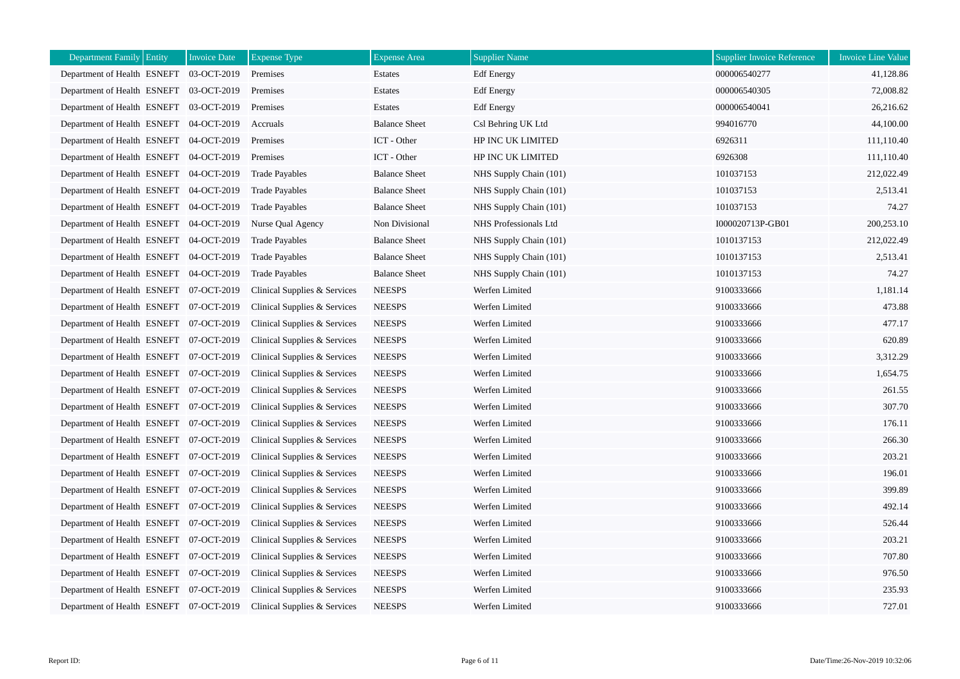| <b>Department Family Entity</b>         | <b>Invoice Date</b> | <b>Expense Type</b>          | <b>Expense</b> Area  | <b>Supplier Name</b>   | <b>Supplier Invoice Reference</b> | <b>Invoice Line Value</b> |
|-----------------------------------------|---------------------|------------------------------|----------------------|------------------------|-----------------------------------|---------------------------|
| Department of Health ESNEFT             | 03-OCT-2019         | Premises                     | Estates              | <b>Edf</b> Energy      | 000006540277                      | 41,128.86                 |
| Department of Health ESNEFT 03-OCT-2019 |                     | Premises                     | Estates              | <b>Edf</b> Energy      | 000006540305                      | 72,008.82                 |
| Department of Health ESNEFT 03-OCT-2019 |                     | Premises                     | Estates              | <b>Edf</b> Energy      | 000006540041                      | 26,216.62                 |
| Department of Health ESNEFT 04-OCT-2019 |                     | Accruals                     | <b>Balance Sheet</b> | Csl Behring UK Ltd     | 994016770                         | 44,100.00                 |
| Department of Health ESNEFT 04-OCT-2019 |                     | Premises                     | ICT - Other          | HP INC UK LIMITED      | 6926311                           | 111,110.40                |
| Department of Health ESNEFT 04-OCT-2019 |                     | Premises                     | ICT - Other          | HP INC UK LIMITED      | 6926308                           | 111,110.40                |
| Department of Health ESNEFT 04-OCT-2019 |                     | <b>Trade Payables</b>        | <b>Balance Sheet</b> | NHS Supply Chain (101) | 101037153                         | 212,022.49                |
| Department of Health ESNEFT 04-OCT-2019 |                     | <b>Trade Payables</b>        | <b>Balance Sheet</b> | NHS Supply Chain (101) | 101037153                         | 2,513.41                  |
| Department of Health ESNEFT 04-OCT-2019 |                     | <b>Trade Payables</b>        | <b>Balance Sheet</b> | NHS Supply Chain (101) | 101037153                         | 74.27                     |
| Department of Health ESNEFT 04-OCT-2019 |                     | Nurse Qual Agency            | Non Divisional       | NHS Professionals Ltd  | I000020713P-GB01                  | 200,253.10                |
| Department of Health ESNEFT 04-OCT-2019 |                     | <b>Trade Payables</b>        | <b>Balance Sheet</b> | NHS Supply Chain (101) | 1010137153                        | 212,022.49                |
| Department of Health ESNEFT 04-OCT-2019 |                     | <b>Trade Payables</b>        | <b>Balance Sheet</b> | NHS Supply Chain (101) | 1010137153                        | 2,513.41                  |
| Department of Health ESNEFT 04-OCT-2019 |                     | <b>Trade Payables</b>        | <b>Balance Sheet</b> | NHS Supply Chain (101) | 1010137153                        | 74.27                     |
| Department of Health ESNEFT 07-OCT-2019 |                     | Clinical Supplies & Services | <b>NEESPS</b>        | Werfen Limited         | 9100333666                        | 1,181.14                  |
| Department of Health ESNEFT 07-OCT-2019 |                     | Clinical Supplies & Services | <b>NEESPS</b>        | Werfen Limited         | 9100333666                        | 473.88                    |
| Department of Health ESNEFT 07-OCT-2019 |                     | Clinical Supplies & Services | <b>NEESPS</b>        | Werfen Limited         | 9100333666                        | 477.17                    |
| Department of Health ESNEFT 07-OCT-2019 |                     | Clinical Supplies & Services | <b>NEESPS</b>        | Werfen Limited         | 9100333666                        | 620.89                    |
| Department of Health ESNEFT 07-OCT-2019 |                     | Clinical Supplies & Services | <b>NEESPS</b>        | Werfen Limited         | 9100333666                        | 3,312.29                  |
| Department of Health ESNEFT 07-OCT-2019 |                     | Clinical Supplies & Services | <b>NEESPS</b>        | Werfen Limited         | 9100333666                        | 1,654.75                  |
| Department of Health ESNEFT 07-OCT-2019 |                     | Clinical Supplies & Services | <b>NEESPS</b>        | Werfen Limited         | 9100333666                        | 261.55                    |
| Department of Health ESNEFT 07-OCT-2019 |                     | Clinical Supplies & Services | <b>NEESPS</b>        | Werfen Limited         | 9100333666                        | 307.70                    |
| Department of Health ESNEFT 07-OCT-2019 |                     | Clinical Supplies & Services | <b>NEESPS</b>        | Werfen Limited         | 9100333666                        | 176.11                    |
| Department of Health ESNEFT 07-OCT-2019 |                     | Clinical Supplies & Services | <b>NEESPS</b>        | Werfen Limited         | 9100333666                        | 266.30                    |
| Department of Health ESNEFT 07-OCT-2019 |                     | Clinical Supplies & Services | <b>NEESPS</b>        | Werfen Limited         | 9100333666                        | 203.21                    |
| Department of Health ESNEFT 07-OCT-2019 |                     | Clinical Supplies & Services | <b>NEESPS</b>        | Werfen Limited         | 9100333666                        | 196.01                    |
| Department of Health ESNEFT 07-OCT-2019 |                     | Clinical Supplies & Services | <b>NEESPS</b>        | Werfen Limited         | 9100333666                        | 399.89                    |
| Department of Health ESNEFT 07-OCT-2019 |                     | Clinical Supplies & Services | <b>NEESPS</b>        | Werfen Limited         | 9100333666                        | 492.14                    |
| Department of Health ESNEFT 07-OCT-2019 |                     | Clinical Supplies & Services | <b>NEESPS</b>        | Werfen Limited         | 9100333666                        | 526.44                    |
| Department of Health ESNEFT 07-OCT-2019 |                     | Clinical Supplies & Services | <b>NEESPS</b>        | Werfen Limited         | 9100333666                        | 203.21                    |
| Department of Health ESNEFT 07-OCT-2019 |                     | Clinical Supplies & Services | <b>NEESPS</b>        | Werfen Limited         | 9100333666                        | 707.80                    |
| Department of Health ESNEFT 07-OCT-2019 |                     | Clinical Supplies & Services | <b>NEESPS</b>        | Werfen Limited         | 9100333666                        | 976.50                    |
| Department of Health ESNEFT 07-OCT-2019 |                     | Clinical Supplies & Services | <b>NEESPS</b>        | Werfen Limited         | 9100333666                        | 235.93                    |
| Department of Health ESNEFT 07-OCT-2019 |                     | Clinical Supplies & Services | <b>NEESPS</b>        | Werfen Limited         | 9100333666                        | 727.01                    |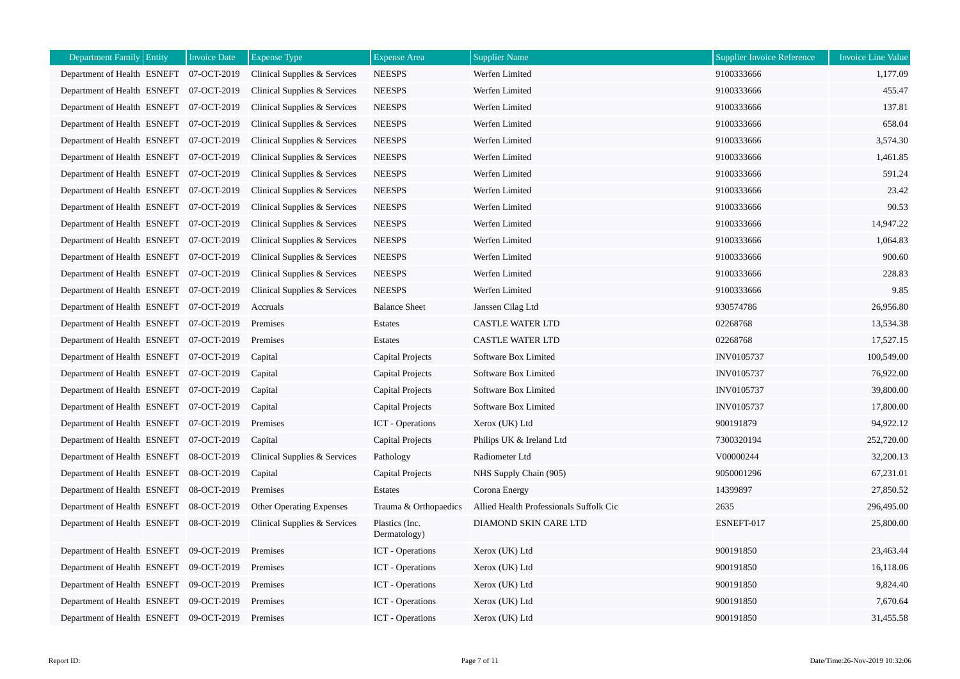| Department Family Entity                | <b>Invoice Date</b> | <b>Expense Type</b>             | <b>Expense Area</b>            | <b>Supplier Name</b>                    | Supplier Invoice Reference | Invoice Line Value |
|-----------------------------------------|---------------------|---------------------------------|--------------------------------|-----------------------------------------|----------------------------|--------------------|
| Department of Health ESNEFT 07-OCT-2019 |                     | Clinical Supplies & Services    | <b>NEESPS</b>                  | Werfen Limited                          | 9100333666                 | 1,177.09           |
| Department of Health ESNEFT 07-OCT-2019 |                     | Clinical Supplies & Services    | <b>NEESPS</b>                  | Werfen Limited                          | 9100333666                 | 455.47             |
| Department of Health ESNEFT 07-OCT-2019 |                     | Clinical Supplies & Services    | <b>NEESPS</b>                  | Werfen Limited                          | 9100333666                 | 137.81             |
| Department of Health ESNEFT 07-OCT-2019 |                     | Clinical Supplies & Services    | <b>NEESPS</b>                  | Werfen Limited                          | 9100333666                 | 658.04             |
| Department of Health ESNEFT 07-OCT-2019 |                     | Clinical Supplies & Services    | <b>NEESPS</b>                  | Werfen Limited                          | 9100333666                 | 3,574.30           |
| Department of Health ESNEFT 07-OCT-2019 |                     | Clinical Supplies & Services    | <b>NEESPS</b>                  | Werfen Limited                          | 9100333666                 | 1,461.85           |
| Department of Health ESNEFT 07-OCT-2019 |                     | Clinical Supplies & Services    | <b>NEESPS</b>                  | Werfen Limited                          | 9100333666                 | 591.24             |
| Department of Health ESNEFT 07-OCT-2019 |                     | Clinical Supplies & Services    | <b>NEESPS</b>                  | Werfen Limited                          | 9100333666                 | 23.42              |
| Department of Health ESNEFT 07-OCT-2019 |                     | Clinical Supplies & Services    | <b>NEESPS</b>                  | Werfen Limited                          | 9100333666                 | 90.53              |
| Department of Health ESNEFT 07-OCT-2019 |                     | Clinical Supplies & Services    | <b>NEESPS</b>                  | Werfen Limited                          | 9100333666                 | 14,947.22          |
| Department of Health ESNEFT 07-OCT-2019 |                     | Clinical Supplies & Services    | <b>NEESPS</b>                  | Werfen Limited                          | 9100333666                 | 1,064.83           |
| Department of Health ESNEFT 07-OCT-2019 |                     | Clinical Supplies & Services    | <b>NEESPS</b>                  | Werfen Limited                          | 9100333666                 | 900.60             |
| Department of Health ESNEFT 07-OCT-2019 |                     | Clinical Supplies & Services    | <b>NEESPS</b>                  | Werfen Limited                          | 9100333666                 | 228.83             |
| Department of Health ESNEFT 07-OCT-2019 |                     | Clinical Supplies & Services    | <b>NEESPS</b>                  | Werfen Limited                          | 9100333666                 | 9.85               |
| Department of Health ESNEFT 07-OCT-2019 |                     | Accruals                        | <b>Balance Sheet</b>           | Janssen Cilag Ltd                       | 930574786                  | 26,956.80          |
| Department of Health ESNEFT 07-OCT-2019 |                     | Premises                        | Estates                        | <b>CASTLE WATER LTD</b>                 | 02268768                   | 13,534.38          |
| Department of Health ESNEFT 07-OCT-2019 |                     | Premises                        | Estates                        | <b>CASTLE WATER LTD</b>                 | 02268768                   | 17,527.15          |
| Department of Health ESNEFT 07-OCT-2019 |                     | Capital                         | <b>Capital Projects</b>        | Software Box Limited                    | INV0105737                 | 100,549.00         |
| Department of Health ESNEFT 07-OCT-2019 |                     | Capital                         | Capital Projects               | Software Box Limited                    | <b>INV0105737</b>          | 76,922.00          |
| Department of Health ESNEFT 07-OCT-2019 |                     | Capital                         | Capital Projects               | Software Box Limited                    | INV0105737                 | 39,800.00          |
| Department of Health ESNEFT 07-OCT-2019 |                     | Capital                         | Capital Projects               | Software Box Limited                    | INV0105737                 | 17,800.00          |
| Department of Health ESNEFT 07-OCT-2019 |                     | Premises                        | <b>ICT</b> - Operations        | Xerox (UK) Ltd                          | 900191879                  | 94,922.12          |
| Department of Health ESNEFT 07-OCT-2019 |                     | Capital                         | Capital Projects               | Philips UK & Ireland Ltd                | 7300320194                 | 252,720.00         |
| Department of Health ESNEFT 08-OCT-2019 |                     | Clinical Supplies & Services    | Pathology                      | Radiometer Ltd                          | V00000244                  | 32,200.13          |
| Department of Health ESNEFT 08-OCT-2019 |                     | Capital                         | Capital Projects               | NHS Supply Chain (905)                  | 9050001296                 | 67,231.01          |
| Department of Health ESNEFT 08-OCT-2019 |                     | Premises                        | Estates                        | Corona Energy                           | 14399897                   | 27,850.52          |
| Department of Health ESNEFT 08-OCT-2019 |                     | <b>Other Operating Expenses</b> | Trauma & Orthopaedics          | Allied Health Professionals Suffolk Cic | 2635                       | 296,495.00         |
| Department of Health ESNEFT 08-OCT-2019 |                     | Clinical Supplies & Services    | Plastics (Inc.<br>Dermatology) | DIAMOND SKIN CARE LTD                   | ESNEFT-017                 | 25,800.00          |
| Department of Health ESNEFT 09-OCT-2019 |                     | Premises                        | <b>ICT</b> - Operations        | Xerox (UK) Ltd                          | 900191850                  | 23,463.44          |
| Department of Health ESNEFT 09-OCT-2019 |                     | Premises                        | <b>ICT</b> - Operations        | Xerox (UK) Ltd                          | 900191850                  | 16,118.06          |
| Department of Health ESNEFT 09-OCT-2019 |                     | Premises                        | <b>ICT</b> - Operations        | Xerox (UK) Ltd                          | 900191850                  | 9,824.40           |
| Department of Health ESNEFT 09-OCT-2019 |                     | Premises                        | <b>ICT</b> - Operations        | Xerox (UK) Ltd                          | 900191850                  | 7,670.64           |
| Department of Health ESNEFT 09-OCT-2019 |                     | Premises                        | <b>ICT</b> - Operations        | Xerox (UK) Ltd                          | 900191850                  | 31,455.58          |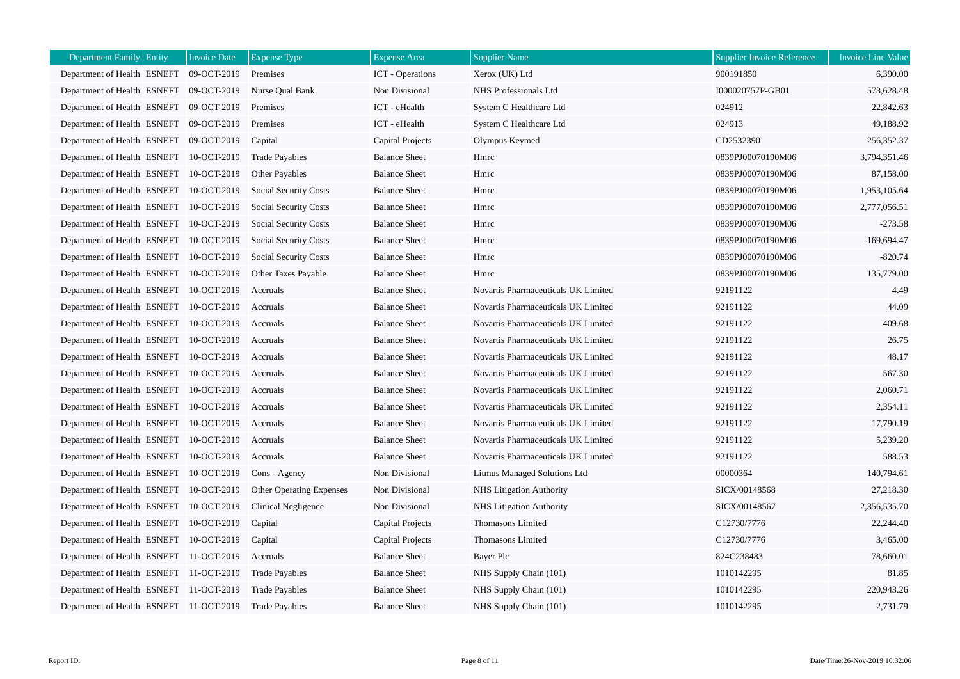| <b>Department Family Entity</b>         | <b>Invoice Date</b> | <b>Expense Type</b>          | <b>Expense</b> Area     | <b>Supplier Name</b>                | <b>Supplier Invoice Reference</b> | <b>Invoice Line Value</b> |
|-----------------------------------------|---------------------|------------------------------|-------------------------|-------------------------------------|-----------------------------------|---------------------------|
| Department of Health ESNEFT             | 09-OCT-2019         | Premises                     | <b>ICT</b> - Operations | Xerox (UK) Ltd                      | 900191850                         | 6,390.00                  |
| Department of Health ESNEFT 09-OCT-2019 |                     | Nurse Qual Bank              | Non Divisional          | NHS Professionals Ltd               | I000020757P-GB01                  | 573,628.48                |
| Department of Health ESNEFT 09-OCT-2019 |                     | Premises                     | ICT - eHealth           | System C Healthcare Ltd             | 024912                            | 22,842.63                 |
| Department of Health ESNEFT 09-OCT-2019 |                     | Premises                     | ICT - eHealth           | System C Healthcare Ltd             | 024913                            | 49,188.92                 |
| Department of Health ESNEFT 09-OCT-2019 |                     | Capital                      | Capital Projects        | Olympus Keymed                      | CD2532390                         | 256,352.37                |
| Department of Health ESNEFT 10-OCT-2019 |                     | <b>Trade Payables</b>        | <b>Balance Sheet</b>    | Hmrc                                | 0839PJ00070190M06                 | 3,794,351.46              |
| Department of Health ESNEFT 10-OCT-2019 |                     | Other Payables               | <b>Balance Sheet</b>    | Hmrc                                | 0839PJ00070190M06                 | 87,158.00                 |
| Department of Health ESNEFT 10-OCT-2019 |                     | Social Security Costs        | <b>Balance Sheet</b>    | Hmrc                                | 0839PJ00070190M06                 | 1,953,105.64              |
| Department of Health ESNEFT 10-OCT-2019 |                     | Social Security Costs        | <b>Balance Sheet</b>    | Hmrc                                | 0839PJ00070190M06                 | 2,777,056.51              |
| Department of Health ESNEFT 10-OCT-2019 |                     | Social Security Costs        | <b>Balance Sheet</b>    | Hmrc                                | 0839PJ00070190M06                 | $-273.58$                 |
| Department of Health ESNEFT 10-OCT-2019 |                     | Social Security Costs        | <b>Balance Sheet</b>    | Hmrc                                | 0839PJ00070190M06                 | $-169,694.47$             |
| Department of Health ESNEFT 10-OCT-2019 |                     | <b>Social Security Costs</b> | <b>Balance Sheet</b>    | Hmrc                                | 0839PJ00070190M06                 | $-820.74$                 |
| Department of Health ESNEFT 10-OCT-2019 |                     | <b>Other Taxes Payable</b>   | <b>Balance Sheet</b>    | Hmrc                                | 0839PJ00070190M06                 | 135,779.00                |
| Department of Health ESNEFT 10-OCT-2019 |                     | Accruals                     | <b>Balance Sheet</b>    | Novartis Pharmaceuticals UK Limited | 92191122                          | 4.49                      |
| Department of Health ESNEFT 10-OCT-2019 |                     | Accruals                     | <b>Balance Sheet</b>    | Novartis Pharmaceuticals UK Limited | 92191122                          | 44.09                     |
| Department of Health ESNEFT 10-OCT-2019 |                     | Accruals                     | <b>Balance Sheet</b>    | Novartis Pharmaceuticals UK Limited | 92191122                          | 409.68                    |
| Department of Health ESNEFT 10-OCT-2019 |                     | Accruals                     | <b>Balance Sheet</b>    | Novartis Pharmaceuticals UK Limited | 92191122                          | 26.75                     |
| Department of Health ESNEFT 10-OCT-2019 |                     | Accruals                     | <b>Balance Sheet</b>    | Novartis Pharmaceuticals UK Limited | 92191122                          | 48.17                     |
| Department of Health ESNEFT 10-OCT-2019 |                     | Accruals                     | <b>Balance Sheet</b>    | Novartis Pharmaceuticals UK Limited | 92191122                          | 567.30                    |
| Department of Health ESNEFT 10-OCT-2019 |                     | Accruals                     | <b>Balance Sheet</b>    | Novartis Pharmaceuticals UK Limited | 92191122                          | 2,060.71                  |
| Department of Health ESNEFT 10-OCT-2019 |                     | Accruals                     | <b>Balance Sheet</b>    | Novartis Pharmaceuticals UK Limited | 92191122                          | 2,354.11                  |
| Department of Health ESNEFT 10-OCT-2019 |                     | Accruals                     | <b>Balance Sheet</b>    | Novartis Pharmaceuticals UK Limited | 92191122                          | 17,790.19                 |
| Department of Health ESNEFT 10-OCT-2019 |                     | Accruals                     | <b>Balance Sheet</b>    | Novartis Pharmaceuticals UK Limited | 92191122                          | 5,239.20                  |
| Department of Health ESNEFT 10-OCT-2019 |                     | Accruals                     | <b>Balance Sheet</b>    | Novartis Pharmaceuticals UK Limited | 92191122                          | 588.53                    |
| Department of Health ESNEFT 10-OCT-2019 |                     | Cons - Agency                | Non Divisional          | Litmus Managed Solutions Ltd        | 00000364                          | 140,794.61                |
| Department of Health ESNEFT 10-OCT-2019 |                     | Other Operating Expenses     | Non Divisional          | <b>NHS Litigation Authority</b>     | SICX/00148568                     | 27,218.30                 |
| Department of Health ESNEFT 10-OCT-2019 |                     | Clinical Negligence          | Non Divisional          | <b>NHS Litigation Authority</b>     | SICX/00148567                     | 2.356.535.70              |
| Department of Health ESNEFT 10-OCT-2019 |                     | Capital                      | Capital Projects        | Thomasons Limited                   | C12730/7776                       | 22,244.40                 |
| Department of Health ESNEFT 10-OCT-2019 |                     | Capital                      | Capital Projects        | Thomasons Limited                   | C12730/7776                       | 3,465.00                  |
| Department of Health ESNEFT 11-OCT-2019 |                     | Accruals                     | <b>Balance Sheet</b>    | Bayer Plc                           | 824C238483                        | 78,660.01                 |
| Department of Health ESNEFT 11-OCT-2019 |                     | <b>Trade Payables</b>        | <b>Balance Sheet</b>    | NHS Supply Chain (101)              | 1010142295                        | 81.85                     |
| Department of Health ESNEFT 11-OCT-2019 |                     | <b>Trade Payables</b>        | <b>Balance Sheet</b>    | NHS Supply Chain (101)              | 1010142295                        | 220,943.26                |
| Department of Health ESNEFT 11-OCT-2019 |                     | <b>Trade Payables</b>        | <b>Balance Sheet</b>    | NHS Supply Chain (101)              | 1010142295                        | 2,731.79                  |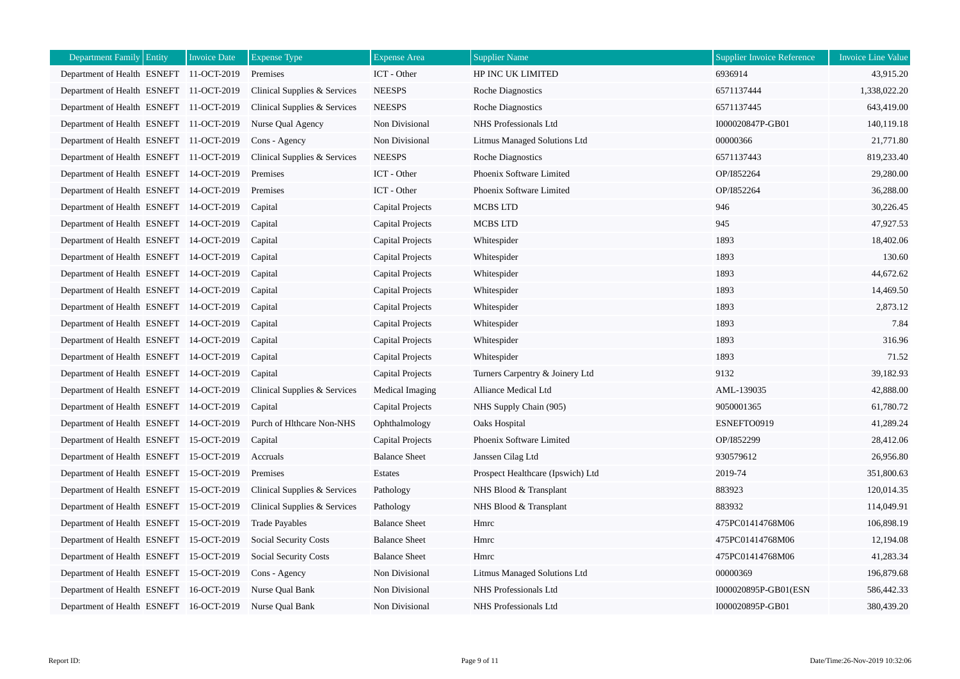| <b>Department Family Entity</b>         | <b>Invoice Date</b> | <b>Expense Type</b>          | <b>Expense</b> Area  | <b>Supplier Name</b>                | <b>Supplier Invoice Reference</b> | <b>Invoice Line Value</b> |
|-----------------------------------------|---------------------|------------------------------|----------------------|-------------------------------------|-----------------------------------|---------------------------|
| Department of Health ESNEFT 11-OCT-2019 |                     | Premises                     | ICT - Other          | HP INC UK LIMITED                   | 6936914                           | 43,915.20                 |
| Department of Health ESNEFT 11-OCT-2019 |                     | Clinical Supplies & Services | <b>NEESPS</b>        | Roche Diagnostics                   | 6571137444                        | 1,338,022.20              |
| Department of Health ESNEFT 11-OCT-2019 |                     | Clinical Supplies & Services | <b>NEESPS</b>        | Roche Diagnostics                   | 6571137445                        | 643,419.00                |
| Department of Health ESNEFT 11-OCT-2019 |                     | Nurse Qual Agency            | Non Divisional       | NHS Professionals Ltd               | I000020847P-GB01                  | 140,119.18                |
| Department of Health ESNEFT 11-OCT-2019 |                     | Cons - Agency                | Non Divisional       | <b>Litmus Managed Solutions Ltd</b> | 00000366                          | 21,771.80                 |
| Department of Health ESNEFT 11-OCT-2019 |                     | Clinical Supplies & Services | <b>NEESPS</b>        | Roche Diagnostics                   | 6571137443                        | 819,233.40                |
| Department of Health ESNEFT 14-OCT-2019 |                     | Premises                     | ICT - Other          | Phoenix Software Limited            | OP/I852264                        | 29,280.00                 |
| Department of Health ESNEFT 14-OCT-2019 |                     | Premises                     | ICT - Other          | Phoenix Software Limited            | OP/I852264                        | 36,288.00                 |
| Department of Health ESNEFT 14-OCT-2019 |                     | Capital                      | Capital Projects     | <b>MCBS LTD</b>                     | 946                               | 30,226.45                 |
| Department of Health ESNEFT 14-OCT-2019 |                     | Capital                      | Capital Projects     | MCBS LTD                            | 945                               | 47,927.53                 |
| Department of Health ESNEFT 14-OCT-2019 |                     | Capital                      | Capital Projects     | Whitespider                         | 1893                              | 18,402.06                 |
| Department of Health ESNEFT 14-OCT-2019 |                     | Capital                      | Capital Projects     | Whitespider                         | 1893                              | 130.60                    |
| Department of Health ESNEFT 14-OCT-2019 |                     | Capital                      | Capital Projects     | Whitespider                         | 1893                              | 44,672.62                 |
| Department of Health ESNEFT 14-OCT-2019 |                     | Capital                      | Capital Projects     | Whitespider                         | 1893                              | 14,469.50                 |
| Department of Health ESNEFT 14-OCT-2019 |                     | Capital                      | Capital Projects     | Whitespider                         | 1893                              | 2,873.12                  |
| Department of Health ESNEFT 14-OCT-2019 |                     | Capital                      | Capital Projects     | Whitespider                         | 1893                              | 7.84                      |
| Department of Health ESNEFT 14-OCT-2019 |                     | Capital                      | Capital Projects     | Whitespider                         | 1893                              | 316.96                    |
| Department of Health ESNEFT 14-OCT-2019 |                     | Capital                      | Capital Projects     | Whitespider                         | 1893                              | 71.52                     |
| Department of Health ESNEFT 14-OCT-2019 |                     | Capital                      | Capital Projects     | Turners Carpentry & Joinery Ltd     | 9132                              | 39,182.93                 |
| Department of Health ESNEFT 14-OCT-2019 |                     | Clinical Supplies & Services | Medical Imaging      | Alliance Medical Ltd                | AML-139035                        | 42,888.00                 |
| Department of Health ESNEFT 14-OCT-2019 |                     | Capital                      | Capital Projects     | NHS Supply Chain (905)              | 9050001365                        | 61,780.72                 |
| Department of Health ESNEFT 14-OCT-2019 |                     | Purch of Hlthcare Non-NHS    | Ophthalmology        | Oaks Hospital                       | ESNEFTO0919                       | 41,289.24                 |
| Department of Health ESNEFT 15-OCT-2019 |                     | Capital                      | Capital Projects     | Phoenix Software Limited            | OP/I852299                        | 28,412.06                 |
| Department of Health ESNEFT 15-OCT-2019 |                     | Accruals                     | <b>Balance Sheet</b> | Janssen Cilag Ltd                   | 930579612                         | 26,956.80                 |
| Department of Health ESNEFT 15-OCT-2019 |                     | Premises                     | Estates              | Prospect Healthcare (Ipswich) Ltd   | 2019-74                           | 351,800.63                |
| Department of Health ESNEFT 15-OCT-2019 |                     | Clinical Supplies & Services | Pathology            | NHS Blood & Transplant              | 883923                            | 120,014.35                |
| Department of Health ESNEFT 15-OCT-2019 |                     | Clinical Supplies & Services | Pathology            | NHS Blood & Transplant              | 883932                            | 114,049.91                |
| Department of Health ESNEFT 15-OCT-2019 |                     | <b>Trade Payables</b>        | <b>Balance Sheet</b> | Hmrc                                | 475PC01414768M06                  | 106,898.19                |
| Department of Health ESNEFT 15-OCT-2019 |                     | Social Security Costs        | <b>Balance Sheet</b> | Hmrc                                | 475PC01414768M06                  | 12,194.08                 |
| Department of Health ESNEFT 15-OCT-2019 |                     | Social Security Costs        | <b>Balance Sheet</b> | Hmrc                                | 475PC01414768M06                  | 41,283.34                 |
| Department of Health ESNEFT 15-OCT-2019 |                     | Cons - Agency                | Non Divisional       | Litmus Managed Solutions Ltd        | 00000369                          | 196,879.68                |
| Department of Health ESNEFT 16-OCT-2019 |                     | Nurse Qual Bank              | Non Divisional       | NHS Professionals Ltd               | I000020895P-GB01(ESN              | 586,442.33                |
| Department of Health ESNEFT 16-OCT-2019 |                     | Nurse Qual Bank              | Non Divisional       | NHS Professionals Ltd               | I000020895P-GB01                  | 380,439.20                |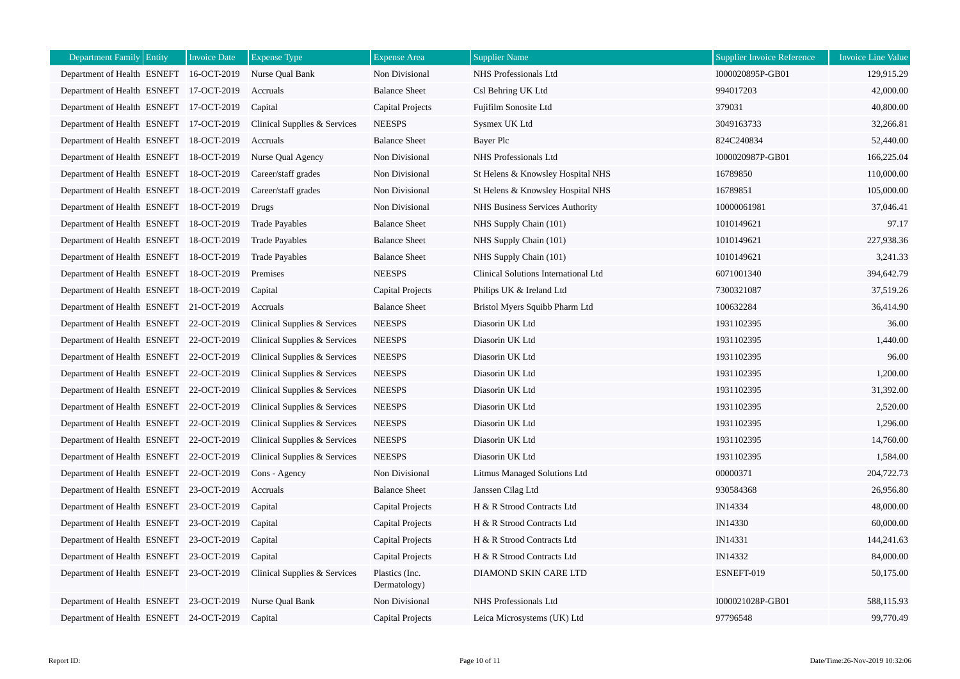| Department Family Entity                | <b>Invoice Date</b> | <b>Expense Type</b>          | <b>Expense Area</b>            | <b>Supplier Name</b>                   | <b>Supplier Invoice Reference</b> | Invoice Line Value |
|-----------------------------------------|---------------------|------------------------------|--------------------------------|----------------------------------------|-----------------------------------|--------------------|
| Department of Health ESNEFT 16-OCT-2019 |                     | Nurse Qual Bank              | Non Divisional                 | NHS Professionals Ltd                  | I000020895P-GB01                  | 129,915.29         |
| Department of Health ESNEFT 17-OCT-2019 |                     | Accruals                     | <b>Balance Sheet</b>           | Csl Behring UK Ltd                     | 994017203                         | 42,000.00          |
| Department of Health ESNEFT 17-OCT-2019 |                     | Capital                      | Capital Projects               | Fujifilm Sonosite Ltd                  | 379031                            | 40,800.00          |
| Department of Health ESNEFT 17-OCT-2019 |                     | Clinical Supplies & Services | <b>NEESPS</b>                  | Sysmex UK Ltd                          | 3049163733                        | 32,266.81          |
| Department of Health ESNEFT             | 18-OCT-2019         | Accruals                     | <b>Balance Sheet</b>           | Bayer Plc                              | 824C240834                        | 52,440.00          |
| Department of Health ESNEFT 18-OCT-2019 |                     | Nurse Qual Agency            | Non Divisional                 | NHS Professionals Ltd                  | I000020987P-GB01                  | 166,225.04         |
| Department of Health ESNEFT 18-OCT-2019 |                     | Career/staff grades          | Non Divisional                 | St Helens & Knowsley Hospital NHS      | 16789850                          | 110,000.00         |
| Department of Health ESNEFT 18-OCT-2019 |                     | Career/staff grades          | Non Divisional                 | St Helens & Knowsley Hospital NHS      | 16789851                          | 105,000.00         |
| Department of Health ESNEFT 18-OCT-2019 |                     | Drugs                        | Non Divisional                 | <b>NHS Business Services Authority</b> | 10000061981                       | 37,046.41          |
| Department of Health ESNEFT 18-OCT-2019 |                     | <b>Trade Payables</b>        | <b>Balance Sheet</b>           | NHS Supply Chain (101)                 | 1010149621                        | 97.17              |
| Department of Health ESNEFT             | 18-OCT-2019         | <b>Trade Payables</b>        | <b>Balance Sheet</b>           | NHS Supply Chain (101)                 | 1010149621                        | 227,938.36         |
| Department of Health ESNEFT 18-OCT-2019 |                     | <b>Trade Payables</b>        | <b>Balance Sheet</b>           | NHS Supply Chain (101)                 | 1010149621                        | 3,241.33           |
| Department of Health ESNEFT 18-OCT-2019 |                     | Premises                     | <b>NEESPS</b>                  | Clinical Solutions International Ltd   | 6071001340                        | 394,642.79         |
| Department of Health ESNEFT 18-OCT-2019 |                     | Capital                      | Capital Projects               | Philips UK & Ireland Ltd               | 7300321087                        | 37,519.26          |
| Department of Health ESNEFT 21-OCT-2019 |                     | Accruals                     | <b>Balance Sheet</b>           | Bristol Myers Squibb Pharm Ltd         | 100632284                         | 36,414.90          |
| Department of Health ESNEFT 22-OCT-2019 |                     | Clinical Supplies & Services | <b>NEESPS</b>                  | Diasorin UK Ltd                        | 1931102395                        | 36.00              |
| Department of Health ESNEFT 22-OCT-2019 |                     | Clinical Supplies & Services | <b>NEESPS</b>                  | Diasorin UK Ltd                        | 1931102395                        | 1,440.00           |
| Department of Health ESNEFT 22-OCT-2019 |                     | Clinical Supplies & Services | <b>NEESPS</b>                  | Diasorin UK Ltd                        | 1931102395                        | 96.00              |
| Department of Health ESNEFT 22-OCT-2019 |                     | Clinical Supplies & Services | <b>NEESPS</b>                  | Diasorin UK Ltd                        | 1931102395                        | 1,200.00           |
| Department of Health ESNEFT 22-OCT-2019 |                     | Clinical Supplies & Services | <b>NEESPS</b>                  | Diasorin UK Ltd                        | 1931102395                        | 31,392.00          |
| Department of Health ESNEFT 22-OCT-2019 |                     | Clinical Supplies & Services | <b>NEESPS</b>                  | Diasorin UK Ltd                        | 1931102395                        | 2,520.00           |
| Department of Health ESNEFT 22-OCT-2019 |                     | Clinical Supplies & Services | <b>NEESPS</b>                  | Diasorin UK Ltd                        | 1931102395                        | 1,296.00           |
| Department of Health ESNEFT 22-OCT-2019 |                     | Clinical Supplies & Services | <b>NEESPS</b>                  | Diasorin UK Ltd                        | 1931102395                        | 14,760.00          |
| Department of Health ESNEFT 22-OCT-2019 |                     | Clinical Supplies & Services | <b>NEESPS</b>                  | Diasorin UK Ltd                        | 1931102395                        | 1,584.00           |
| Department of Health ESNEFT 22-OCT-2019 |                     | Cons - Agency                | Non Divisional                 | Litmus Managed Solutions Ltd           | 00000371                          | 204,722.73         |
| Department of Health ESNEFT 23-OCT-2019 |                     | Accruals                     | <b>Balance Sheet</b>           | Janssen Cilag Ltd                      | 930584368                         | 26,956.80          |
| Department of Health ESNEFT 23-OCT-2019 |                     | Capital                      | <b>Capital Projects</b>        | H & R Strood Contracts Ltd             | IN14334                           | 48,000.00          |
| Department of Health ESNEFT 23-OCT-2019 |                     | Capital                      | Capital Projects               | H & R Strood Contracts Ltd             | IN14330                           | 60,000.00          |
| Department of Health ESNEFT 23-OCT-2019 |                     | Capital                      | <b>Capital Projects</b>        | H & R Strood Contracts Ltd             | IN14331                           | 144,241.63         |
| Department of Health ESNEFT 23-OCT-2019 |                     | Capital                      | Capital Projects               | H & R Strood Contracts Ltd             | IN14332                           | 84,000.00          |
| Department of Health ESNEFT 23-OCT-2019 |                     | Clinical Supplies & Services | Plastics (Inc.<br>Dermatology) | DIAMOND SKIN CARE LTD                  | ESNEFT-019                        | 50,175.00          |
| Department of Health ESNEFT 23-OCT-2019 |                     | Nurse Qual Bank              | Non Divisional                 | NHS Professionals Ltd                  | I000021028P-GB01                  | 588,115.93         |
| Department of Health ESNEFT 24-OCT-2019 |                     | Capital                      | <b>Capital Projects</b>        | Leica Microsystems (UK) Ltd            | 97796548                          | 99,770.49          |